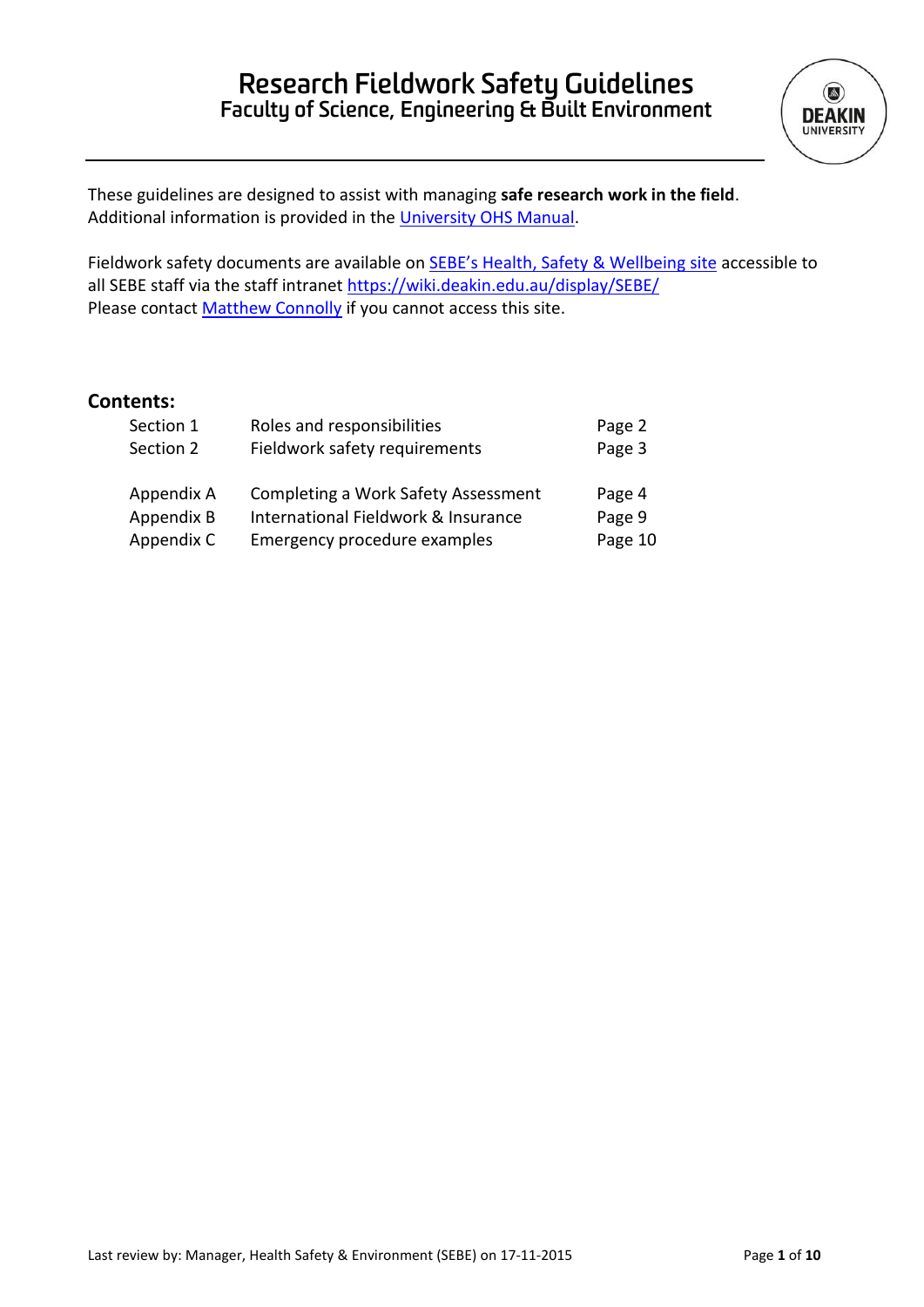

These guidelines are designed to assist with managing **safe research work in the field**. Additional information is provided in the [University OHS Manual.](http://www.deakin.edu.au/life-at-deakin/health-wellbeing-safety/occupational-health-and-safety/ohs-manual/work-location-safety)

Fieldwork safety documents are available on [SEBE's Health, Safety & Wellbeing site](https://deakin365.sharepoint.com/sites/sebe/hsw/SitePages/Fieldwork%20Safety.aspx) accessible to all SEBE staff via the staff intranet<https://wiki.deakin.edu.au/display/SEBE/> Please contact **Matthew Connolly** if you cannot access this site.

# **Contents:**

| Section 1  | Roles and responsibilities          | Page 2  |
|------------|-------------------------------------|---------|
| Section 2  | Fieldwork safety requirements       | Page 3  |
| Appendix A | Completing a Work Safety Assessment | Page 4  |
| Appendix B | International Fieldwork & Insurance | Page 9  |
| Appendix C | Emergency procedure examples        | Page 10 |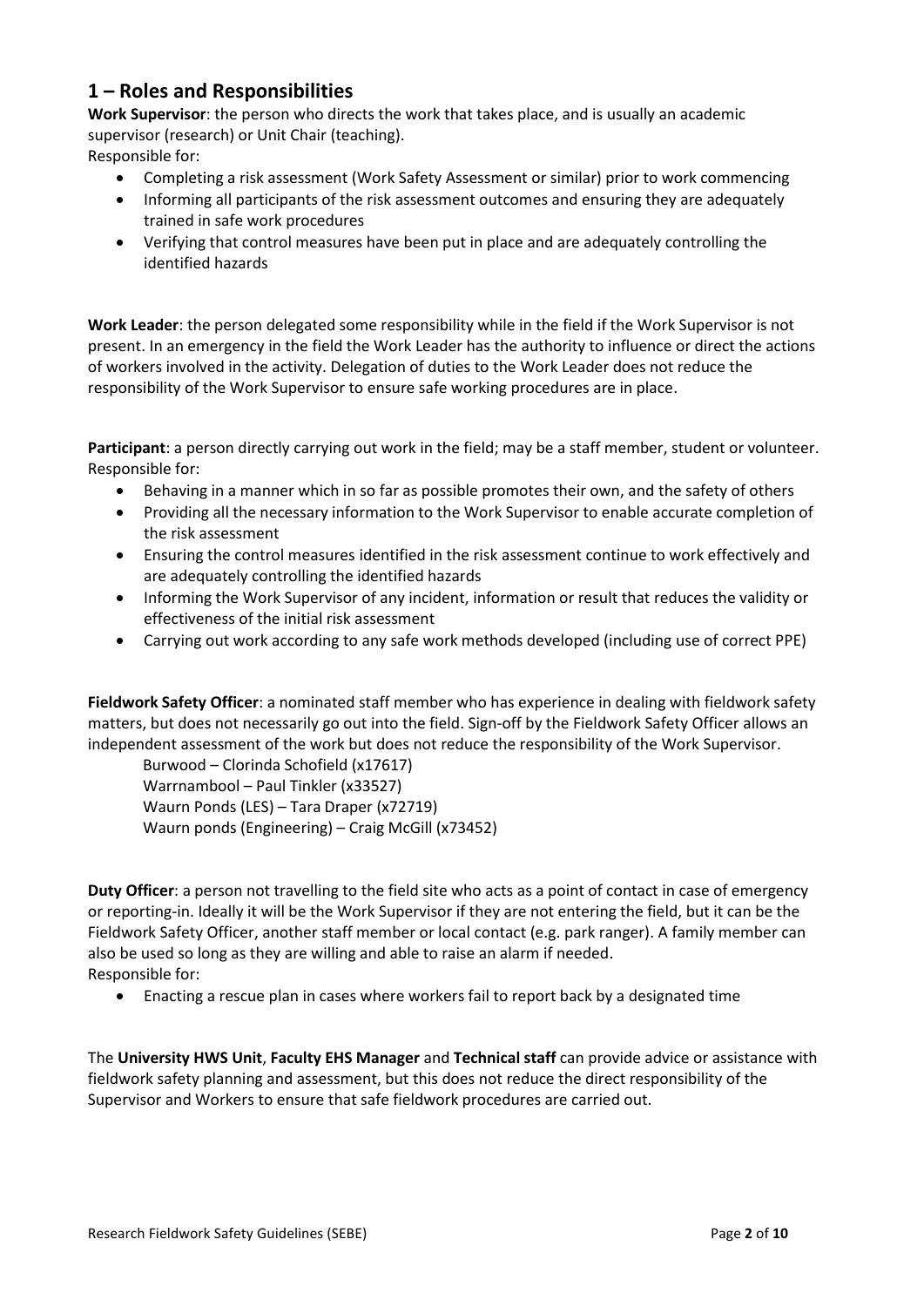# **1 – Roles and Responsibilities**

**Work Supervisor**: the person who directs the work that takes place, and is usually an academic supervisor (research) or Unit Chair (teaching).

Responsible for:

- Completing a risk assessment (Work Safety Assessment or similar) prior to work commencing
- Informing all participants of the risk assessment outcomes and ensuring they are adequately trained in safe work procedures
- Verifying that control measures have been put in place and are adequately controlling the identified hazards

**Work Leader**: the person delegated some responsibility while in the field if the Work Supervisor is not present. In an emergency in the field the Work Leader has the authority to influence or direct the actions of workers involved in the activity. Delegation of duties to the Work Leader does not reduce the responsibility of the Work Supervisor to ensure safe working procedures are in place.

**Participant**: a person directly carrying out work in the field; may be a staff member, student or volunteer. Responsible for:

- Behaving in a manner which in so far as possible promotes their own, and the safety of others
- Providing all the necessary information to the Work Supervisor to enable accurate completion of the risk assessment
- Ensuring the control measures identified in the risk assessment continue to work effectively and are adequately controlling the identified hazards
- Informing the Work Supervisor of any incident, information or result that reduces the validity or effectiveness of the initial risk assessment
- Carrying out work according to any safe work methods developed (including use of correct PPE)

**Fieldwork Safety Officer**: a nominated staff member who has experience in dealing with fieldwork safety matters, but does not necessarily go out into the field. Sign-off by the Fieldwork Safety Officer allows an independent assessment of the work but does not reduce the responsibility of the Work Supervisor.

Burwood – Clorinda Schofield (x17617) Warrnambool – Paul Tinkler (x33527) Waurn Ponds (LES) – Tara Draper (x72719) Waurn ponds (Engineering) – Craig McGill (x73452)

**Duty Officer**: a person not travelling to the field site who acts as a point of contact in case of emergency or reporting-in. Ideally it will be the Work Supervisor if they are not entering the field, but it can be the Fieldwork Safety Officer, another staff member or local contact (e.g. park ranger). A family member can also be used so long as they are willing and able to raise an alarm if needed. Responsible for:

Enacting a rescue plan in cases where workers fail to report back by a designated time

The **University HWS Unit**, **Faculty EHS Manager** and **Technical staff** can provide advice or assistance with fieldwork safety planning and assessment, but this does not reduce the direct responsibility of the Supervisor and Workers to ensure that safe fieldwork procedures are carried out.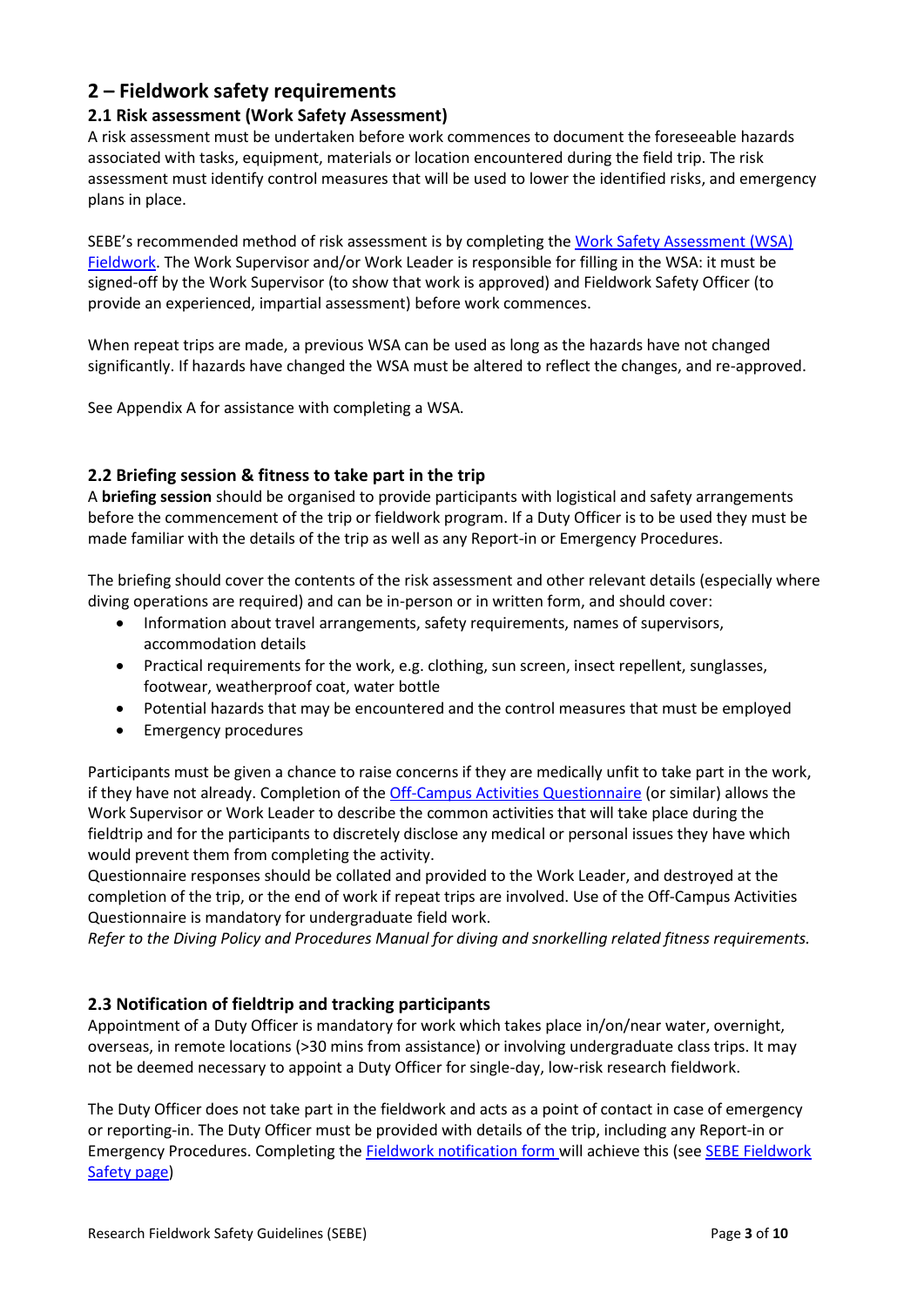# **2 – Fieldwork safety requirements**

# **2.1 Risk assessment (Work Safety Assessment)**

A risk assessment must be undertaken before work commences to document the foreseeable hazards associated with tasks, equipment, materials or location encountered during the field trip. The risk assessment must identify control measures that will be used to lower the identified risks, and emergency plans in place.

SEBE's recommended method of risk assessment is by completing th[e Work Safety Assessment](https://deakin365.sharepoint.com/sites/sebe/hsw/_layouts/15/guestaccess.aspx?docid=14e31b93c355446388c0c4dae00c4e050&authkey=AdQbQ2k_yUGAewh1fZDFCNM) (WSA) Fieldwork. The Work Supervisor and/or Work Leader is responsible for filling in the WSA: it must be signed-off by the Work Supervisor (to show that work is approved) and Fieldwork Safety Officer (to provide an experienced, impartial assessment) before work commences.

When repeat trips are made, a previous WSA can be used as long as the hazards have not changed significantly. If hazards have changed the WSA must be altered to reflect the changes, and re-approved.

See Appendix A for assistance with completing a WSA.

# **2.2 Briefing session & fitness to take part in the trip**

A **briefing session** should be organised to provide participants with logistical and safety arrangements before the commencement of the trip or fieldwork program. If a Duty Officer is to be used they must be made familiar with the details of the trip as well as any Report-in or Emergency Procedures.

The briefing should cover the contents of the risk assessment and other relevant details (especially where diving operations are required) and can be in-person or in written form, and should cover:

- Information about travel arrangements, safety requirements, names of supervisors, accommodation details
- Practical requirements for the work, e.g. clothing, sun screen, insect repellent, sunglasses, footwear, weatherproof coat, water bottle
- Potential hazards that may be encountered and the control measures that must be employed
- Emergency procedures

Participants must be given a chance to raise concerns if they are medically unfit to take part in the work, if they have not already. Completion of the [Off-Campus Activities Questionnaire](https://deakin365.sharepoint.com/sites/sebe/hsw/_layouts/15/guestaccess.aspx?docid=1a3eb2ae6ca2e48949faa1a4ec2f00c15&authkey=AT_PQMPnGk1XGXPMUQLHwY4) (or similar) allows the Work Supervisor or Work Leader to describe the common activities that will take place during the fieldtrip and for the participants to discretely disclose any medical or personal issues they have which would prevent them from completing the activity.

Questionnaire responses should be collated and provided to the Work Leader, and destroyed at the completion of the trip, or the end of work if repeat trips are involved. Use of the Off-Campus Activities Questionnaire is mandatory for undergraduate field work.

*Refer to the Diving Policy and Procedures Manual for diving and snorkelling related fitness requirements.*

## **2.3 Notification of fieldtrip and tracking participants**

Appointment of a Duty Officer is mandatory for work which takes place in/on/near water, overnight, overseas, in remote locations (>30 mins from assistance) or involving undergraduate class trips. It may not be deemed necessary to appoint a Duty Officer for single-day, low-risk research fieldwork.

The Duty Officer does not take part in the fieldwork and acts as a point of contact in case of emergency or reporting-in. The Duty Officer must be provided with details of the trip, including any Report-in or Emergency Procedures. Completing the [Fieldwork notification](https://deakin365.sharepoint.com/sites/sebe/hsw/_layouts/15/guestaccess.aspx?docid=175e84053421e40f885fd3bddad755bdb&authkey=ATSos67lRNfGCpnuvAkzPN0) form will achieve this (see [SEBE Fieldwork](https://deakin365.sharepoint.com/sites/sebe/hsw/SitePages/Fieldwork%20Safety.aspx)  [Safety page\)](https://deakin365.sharepoint.com/sites/sebe/hsw/SitePages/Fieldwork%20Safety.aspx)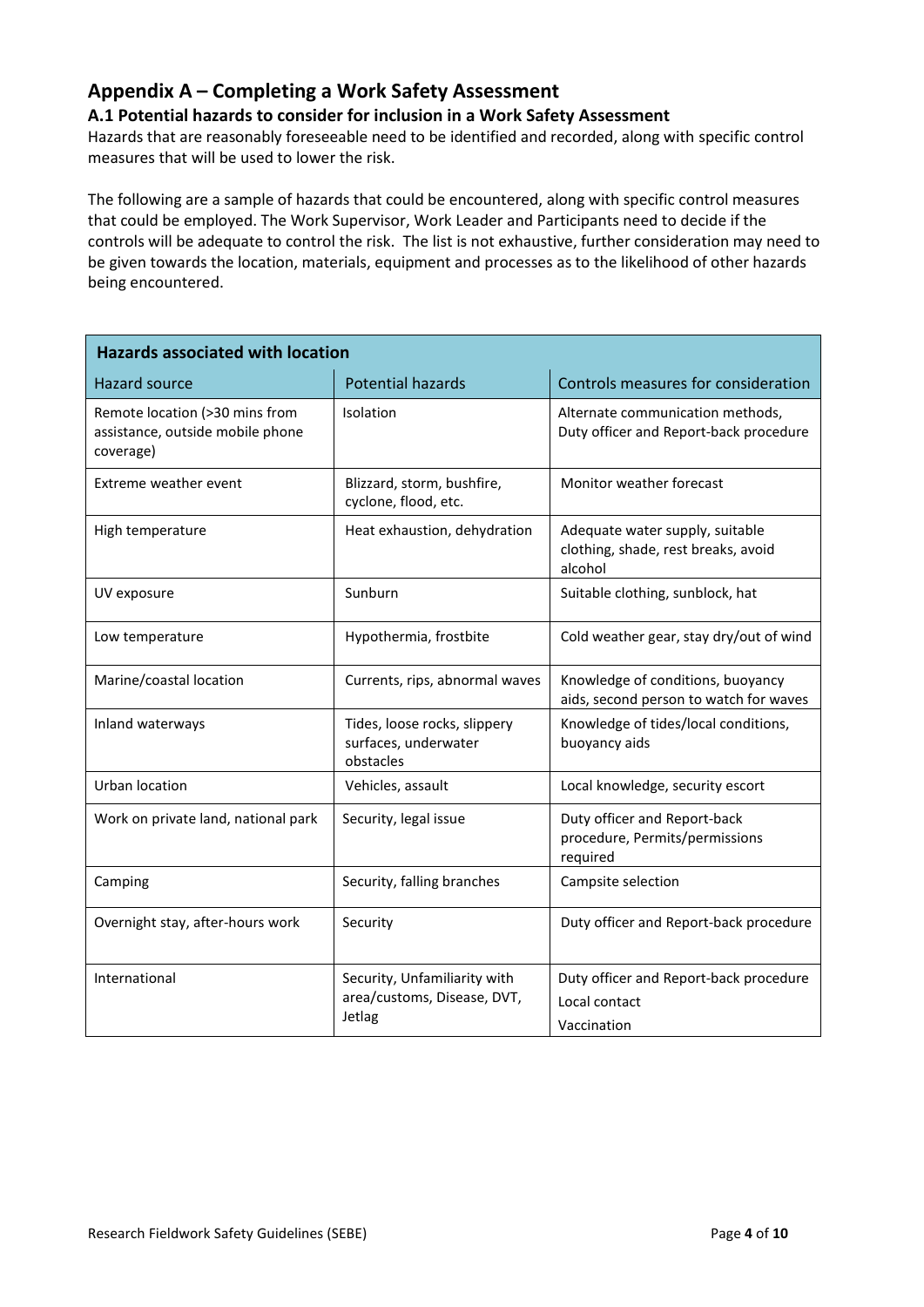# **Appendix A – Completing a Work Safety Assessment**

#### **A.1 Potential hazards to consider for inclusion in a Work Safety Assessment**

Hazards that are reasonably foreseeable need to be identified and recorded, along with specific control measures that will be used to lower the risk.

The following are a sample of hazards that could be encountered, along with specific control measures that could be employed. The Work Supervisor, Work Leader and Participants need to decide if the controls will be adequate to control the risk. The list is not exhaustive, further consideration may need to be given towards the location, materials, equipment and processes as to the likelihood of other hazards being encountered.

| <b>Hazards associated with location</b>                                         |                                                                       |                                                                                   |  |  |  |
|---------------------------------------------------------------------------------|-----------------------------------------------------------------------|-----------------------------------------------------------------------------------|--|--|--|
| Hazard source                                                                   | <b>Potential hazards</b>                                              | Controls measures for consideration                                               |  |  |  |
| Remote location (>30 mins from<br>assistance, outside mobile phone<br>coverage) | Isolation                                                             | Alternate communication methods,<br>Duty officer and Report-back procedure        |  |  |  |
| Extreme weather event                                                           | Blizzard, storm, bushfire,<br>cyclone, flood, etc.                    | Monitor weather forecast                                                          |  |  |  |
| High temperature                                                                | Heat exhaustion, dehydration                                          | Adequate water supply, suitable<br>clothing, shade, rest breaks, avoid<br>alcohol |  |  |  |
| UV exposure                                                                     | Sunburn                                                               | Suitable clothing, sunblock, hat                                                  |  |  |  |
| Low temperature                                                                 | Hypothermia, frostbite                                                | Cold weather gear, stay dry/out of wind                                           |  |  |  |
| Marine/coastal location                                                         | Currents, rips, abnormal waves                                        | Knowledge of conditions, buoyancy<br>aids, second person to watch for waves       |  |  |  |
| Inland waterways                                                                | Tides, loose rocks, slippery<br>surfaces, underwater<br>obstacles     | Knowledge of tides/local conditions,<br>buoyancy aids                             |  |  |  |
| Urban location                                                                  | Vehicles, assault                                                     | Local knowledge, security escort                                                  |  |  |  |
| Work on private land, national park                                             | Security, legal issue                                                 | Duty officer and Report-back<br>procedure, Permits/permissions<br>required        |  |  |  |
| Camping                                                                         | Security, falling branches                                            | Campsite selection                                                                |  |  |  |
| Overnight stay, after-hours work                                                | Security                                                              | Duty officer and Report-back procedure                                            |  |  |  |
| International                                                                   | Security, Unfamiliarity with<br>area/customs, Disease, DVT,<br>Jetlag | Duty officer and Report-back procedure<br>Local contact<br>Vaccination            |  |  |  |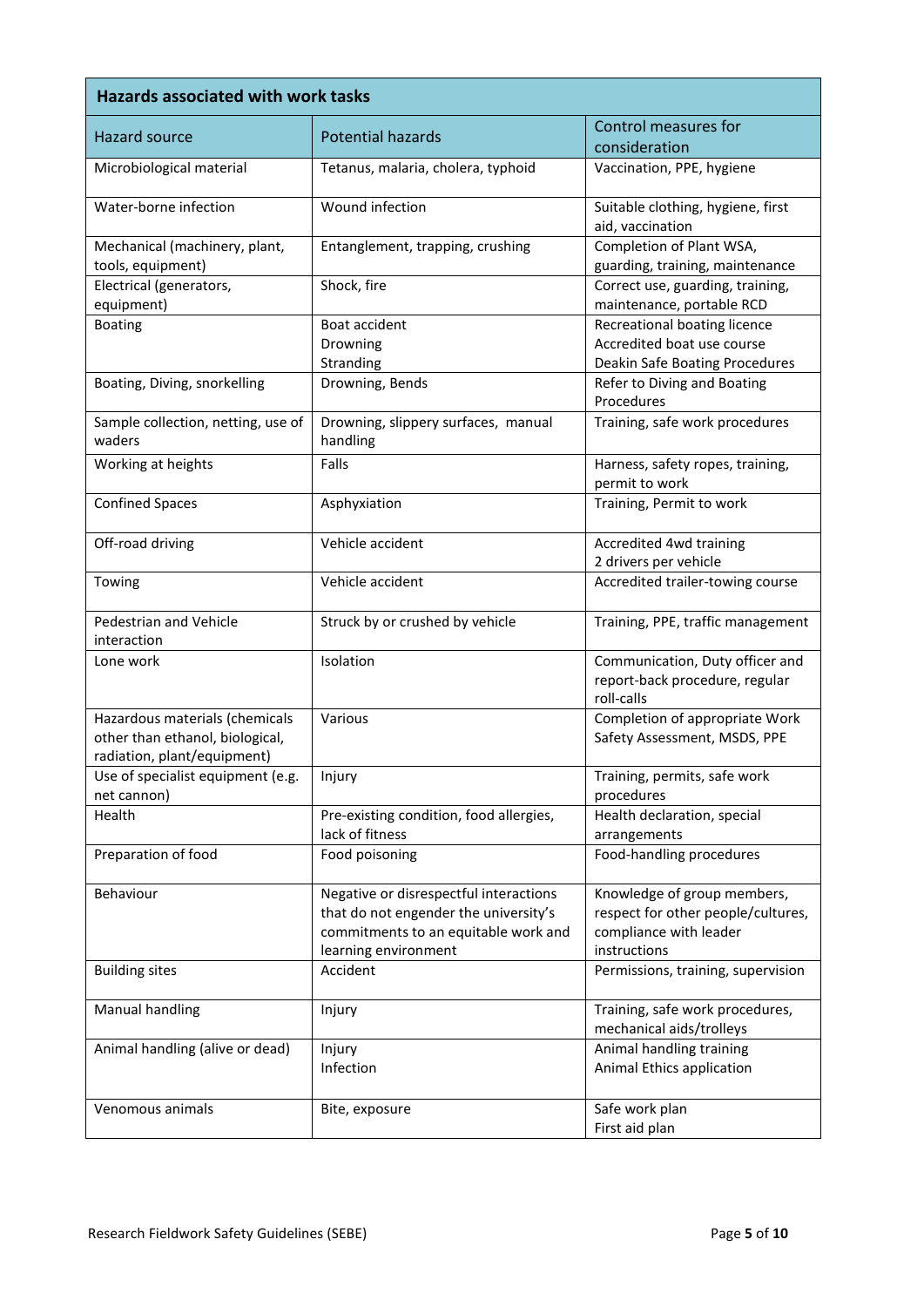| <b>Hazards associated with work tasks</b>                                                        |                                                                                                                                                 |                                                                                                             |  |  |  |
|--------------------------------------------------------------------------------------------------|-------------------------------------------------------------------------------------------------------------------------------------------------|-------------------------------------------------------------------------------------------------------------|--|--|--|
| <b>Hazard source</b>                                                                             | <b>Potential hazards</b>                                                                                                                        | Control measures for<br>consideration                                                                       |  |  |  |
| Microbiological material                                                                         | Tetanus, malaria, cholera, typhoid                                                                                                              | Vaccination, PPE, hygiene                                                                                   |  |  |  |
| Water-borne infection                                                                            | Wound infection                                                                                                                                 | Suitable clothing, hygiene, first<br>aid, vaccination                                                       |  |  |  |
| Mechanical (machinery, plant,<br>tools, equipment)                                               | Entanglement, trapping, crushing                                                                                                                | Completion of Plant WSA,<br>guarding, training, maintenance                                                 |  |  |  |
| Electrical (generators,<br>equipment)                                                            | Shock, fire                                                                                                                                     | Correct use, guarding, training,<br>maintenance, portable RCD                                               |  |  |  |
| <b>Boating</b>                                                                                   | Boat accident<br>Drowning<br>Stranding                                                                                                          | Recreational boating licence<br>Accredited boat use course<br>Deakin Safe Boating Procedures                |  |  |  |
| Boating, Diving, snorkelling                                                                     | Drowning, Bends                                                                                                                                 | Refer to Diving and Boating<br>Procedures                                                                   |  |  |  |
| Sample collection, netting, use of<br>waders                                                     | Drowning, slippery surfaces, manual<br>handling                                                                                                 | Training, safe work procedures                                                                              |  |  |  |
| Working at heights                                                                               | Falls                                                                                                                                           | Harness, safety ropes, training,<br>permit to work                                                          |  |  |  |
| <b>Confined Spaces</b>                                                                           | Asphyxiation                                                                                                                                    | Training, Permit to work                                                                                    |  |  |  |
| Off-road driving                                                                                 | Vehicle accident                                                                                                                                | Accredited 4wd training<br>2 drivers per vehicle                                                            |  |  |  |
| Towing                                                                                           | Vehicle accident                                                                                                                                | Accredited trailer-towing course                                                                            |  |  |  |
| Pedestrian and Vehicle<br>interaction                                                            | Struck by or crushed by vehicle                                                                                                                 | Training, PPE, traffic management                                                                           |  |  |  |
| Lone work                                                                                        | Isolation                                                                                                                                       | Communication, Duty officer and<br>report-back procedure, regular<br>roll-calls                             |  |  |  |
| Hazardous materials (chemicals<br>other than ethanol, biological,<br>radiation, plant/equipment) | Various                                                                                                                                         | Completion of appropriate Work<br>Safety Assessment, MSDS, PPE                                              |  |  |  |
| Use of specialist equipment (e.g.<br>net cannon)                                                 | Injury                                                                                                                                          | Training, permits, safe work<br>procedures                                                                  |  |  |  |
| Health                                                                                           | Pre-existing condition, food allergies,<br>lack of fitness                                                                                      | Health declaration, special<br>arrangements                                                                 |  |  |  |
| Preparation of food                                                                              | Food poisoning                                                                                                                                  | Food-handling procedures                                                                                    |  |  |  |
| Behaviour                                                                                        | Negative or disrespectful interactions<br>that do not engender the university's<br>commitments to an equitable work and<br>learning environment | Knowledge of group members,<br>respect for other people/cultures,<br>compliance with leader<br>instructions |  |  |  |
| <b>Building sites</b>                                                                            | Accident                                                                                                                                        | Permissions, training, supervision                                                                          |  |  |  |
| <b>Manual handling</b>                                                                           | Injury                                                                                                                                          | Training, safe work procedures,<br>mechanical aids/trolleys                                                 |  |  |  |
| Animal handling (alive or dead)                                                                  | Injury<br>Infection                                                                                                                             | Animal handling training<br>Animal Ethics application                                                       |  |  |  |
| Venomous animals                                                                                 | Bite, exposure                                                                                                                                  | Safe work plan<br>First aid plan                                                                            |  |  |  |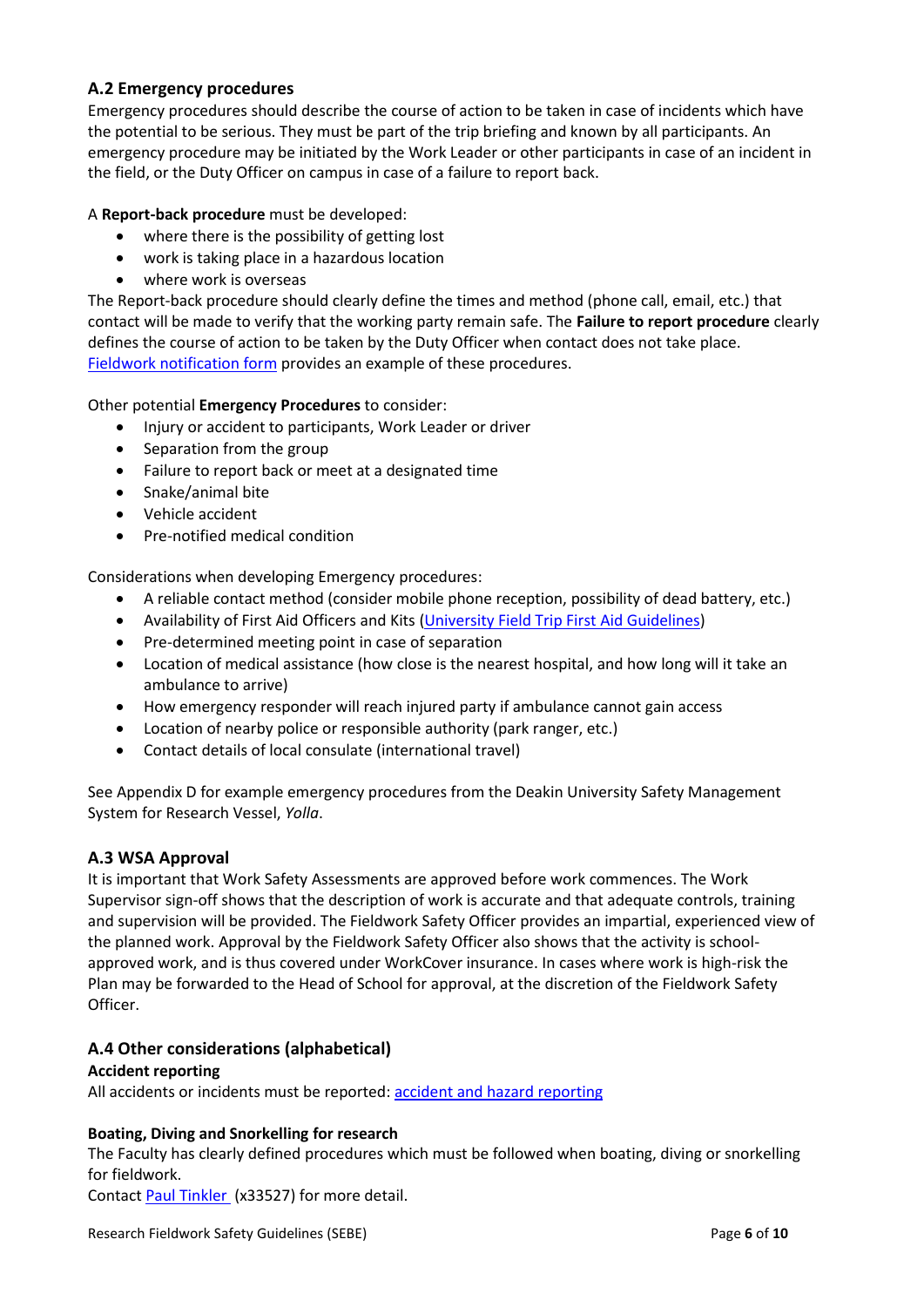## **A.2 Emergency procedures**

Emergency procedures should describe the course of action to be taken in case of incidents which have the potential to be serious. They must be part of the trip briefing and known by all participants. An emergency procedure may be initiated by the Work Leader or other participants in case of an incident in the field, or the Duty Officer on campus in case of a failure to report back.

#### A **Report-back procedure** must be developed:

- where there is the possibility of getting lost
- work is taking place in a hazardous location
- where work is overseas

The Report-back procedure should clearly define the times and method (phone call, email, etc.) that contact will be made to verify that the working party remain safe. The **Failure to report procedure** clearly defines the course of action to be taken by the Duty Officer when contact does not take place. [Fieldwork notification](https://deakin365.sharepoint.com/sites/sebe/hsw/_layouts/15/guestaccess.aspx?docid=175e84053421e40f885fd3bddad755bdb&authkey=ATSos67lRNfGCpnuvAkzPN0) form provides an example of these procedures.

Other potential **Emergency Procedures** to consider:

- Injury or accident to participants, Work Leader or driver
- Separation from the group
- Failure to report back or meet at a designated time
- Snake/animal bite
- Vehicle accident
- Pre-notified medical condition

Considerations when developing Emergency procedures:

- A reliable contact method (consider mobile phone reception, possibility of dead battery, etc.)
- Availability of First Aid Officers and Kits [\(University Field Trip First Aid Guidelines\)](http://www.deakin.edu.au/__data/assets/pdf_file/0020/228611/field-trip-first-aid-guidelines.pdf)
- Pre-determined meeting point in case of separation
- Location of medical assistance (how close is the nearest hospital, and how long will it take an ambulance to arrive)
- How emergency responder will reach injured party if ambulance cannot gain access
- Location of nearby police or responsible authority (park ranger, etc.)
- Contact details of local consulate (international travel)

See Appendix D for example emergency procedures from the Deakin University Safety Management System for Research Vessel, *Yolla*.

## **A.3 WSA Approval**

It is important that Work Safety Assessments are approved before work commences. The Work Supervisor sign-off shows that the description of work is accurate and that adequate controls, training and supervision will be provided. The Fieldwork Safety Officer provides an impartial, experienced view of the planned work. Approval by the Fieldwork Safety Officer also shows that the activity is schoolapproved work, and is thus covered under WorkCover insurance. In cases where work is high-risk the Plan may be forwarded to the Head of School for approval, at the discretion of the Fieldwork Safety Officer.

## **A.4 Other considerations (alphabetical)**

#### **Accident reporting**

All accidents or incidents must be reported: [accident and hazard reporting](http://www.deakin.edu.au/life-at-deakin/health-wellbeing-safety/occupational-health-and-safety/accident-and-hazard-reporting)

## **Boating, Diving and Snorkelling for research**

The Faculty has clearly defined procedures which must be followed when boating, diving or snorkelling for fieldwork.

Contact [Paul Tinkler](mailto:paul.tinkler@deakin.edu.au) (x33527) for more detail.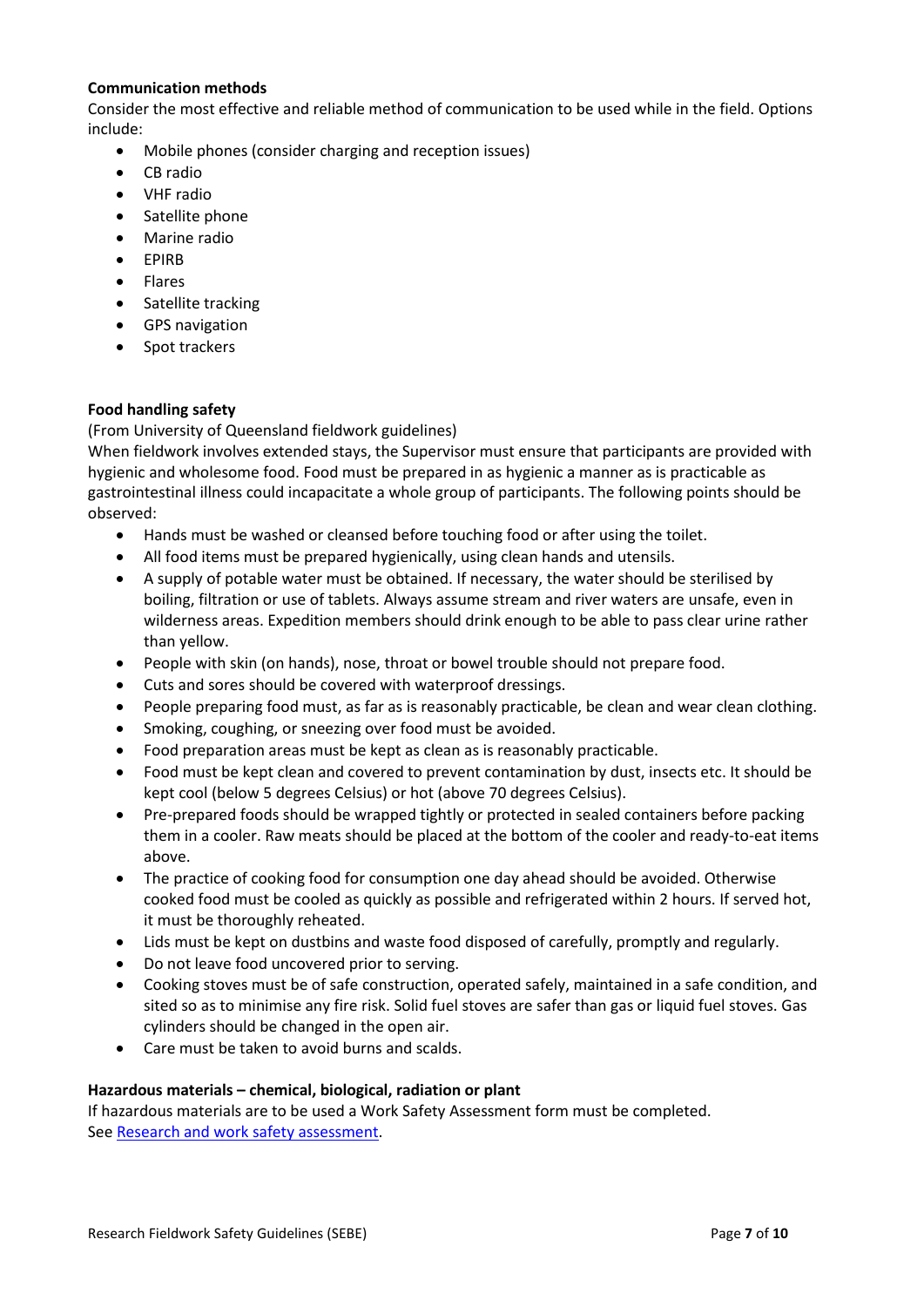#### **Communication methods**

Consider the most effective and reliable method of communication to be used while in the field. Options include:

- Mobile phones (consider charging and reception issues)
- CB radio
- VHF radio
- Satellite phone
- Marine radio
- **•** FPIRR
- Flares
- Satellite tracking
- GPS navigation
- Spot trackers

#### **Food handling safety**

(From University of Queensland fieldwork guidelines)

When fieldwork involves extended stays, the Supervisor must ensure that participants are provided with hygienic and wholesome food. Food must be prepared in as hygienic a manner as is practicable as gastrointestinal illness could incapacitate a whole group of participants. The following points should be observed:

- Hands must be washed or cleansed before touching food or after using the toilet.
- All food items must be prepared hygienically, using clean hands and utensils.
- A supply of potable water must be obtained. If necessary, the water should be sterilised by boiling, filtration or use of tablets. Always assume stream and river waters are unsafe, even in wilderness areas. Expedition members should drink enough to be able to pass clear urine rather than yellow.
- People with skin (on hands), nose, throat or bowel trouble should not prepare food.
- Cuts and sores should be covered with waterproof dressings.
- People preparing food must, as far as is reasonably practicable, be clean and wear clean clothing.
- Smoking, coughing, or sneezing over food must be avoided.
- Food preparation areas must be kept as clean as is reasonably practicable.
- Food must be kept clean and covered to prevent contamination by dust, insects etc. It should be kept cool (below 5 degrees Celsius) or hot (above 70 degrees Celsius).
- Pre-prepared foods should be wrapped tightly or protected in sealed containers before packing them in a cooler. Raw meats should be placed at the bottom of the cooler and ready-to-eat items above.
- The practice of cooking food for consumption one day ahead should be avoided. Otherwise cooked food must be cooled as quickly as possible and refrigerated within 2 hours. If served hot, it must be thoroughly reheated.
- Lids must be kept on dustbins and waste food disposed of carefully, promptly and regularly.
- Do not leave food uncovered prior to serving.
- Cooking stoves must be of safe construction, operated safely, maintained in a safe condition, and sited so as to minimise any fire risk. Solid fuel stoves are safer than gas or liquid fuel stoves. Gas cylinders should be changed in the open air.
- Care must be taken to avoid burns and scalds.

#### **Hazardous materials – chemical, biological, radiation or plant**

If hazardous materials are to be used a Work Safety Assessment form must be completed. See [Research and work safety assessment.](http://www.deakin.edu.au/life-at-deakin/health-wellbeing-safety/occupational-health-and-safety/safe-work-practices/project-safety-plans)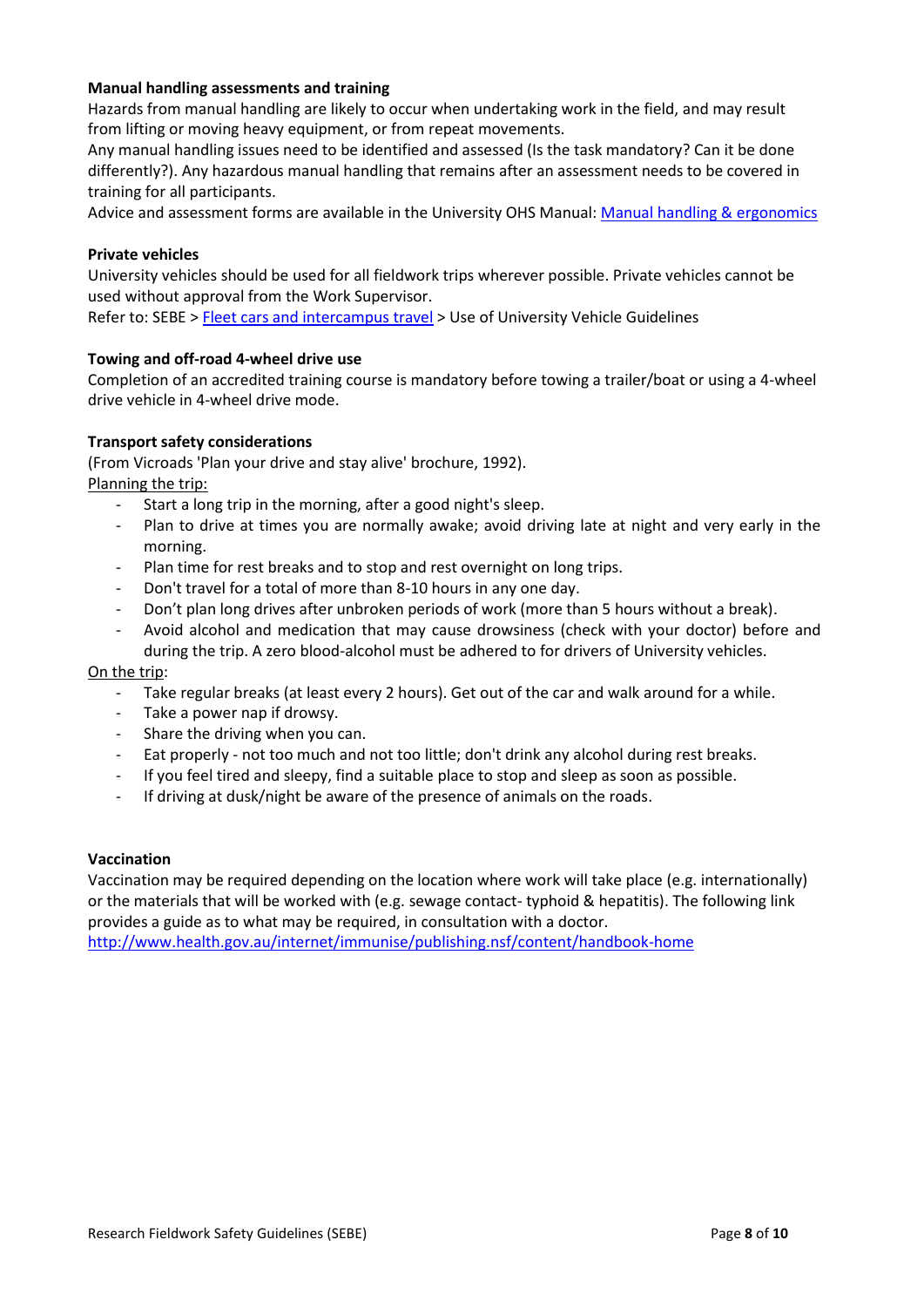## **Manual handling assessments and training**

Hazards from manual handling are likely to occur when undertaking work in the field, and may result from lifting or moving heavy equipment, or from repeat movements.

Any manual handling issues need to be identified and assessed (Is the task mandatory? Can it be done differently?). Any hazardous manual handling that remains after an assessment needs to be covered in training for all participants.

Advice and assessment forms are available in the University OHS Manual: [Manual handling & ergonomics](http://www.deakin.edu.au/life-at-deakin/health-wellbeing-safety/occupational-health-and-safety/ohs-manual/ergonomics-and-manual-handling)

#### **Private vehicles**

University vehicles should be used for all fieldwork trips wherever possible. Private vehicles cannot be used without approval from the Work Supervisor.

Refer to: SEBE [> Fleet cars and intercampus travel](https://wiki.deakin.edu.au/display/SEBE/Fleet+cars+and+intercampus+travel) > Use of University Vehicle Guidelines

#### **Towing and off-road 4-wheel drive use**

Completion of an accredited training course is mandatory before towing a trailer/boat or using a 4-wheel drive vehicle in 4-wheel drive mode.

#### **Transport safety considerations**

(From Vicroads 'Plan your drive and stay alive' brochure, 1992). Planning the trip:

- Start a long trip in the morning, after a good night's sleep.
- Plan to drive at times you are normally awake; avoid driving late at night and very early in the morning.
- Plan time for rest breaks and to stop and rest overnight on long trips.
- Don't travel for a total of more than 8-10 hours in any one day.
- Don't plan long drives after unbroken periods of work (more than 5 hours without a break).
- Avoid alcohol and medication that may cause drowsiness (check with your doctor) before and during the trip. A zero blood-alcohol must be adhered to for drivers of University vehicles.

#### On the trip:

- Take regular breaks (at least every 2 hours). Get out of the car and walk around for a while.
- Take a power nap if drowsy.
- Share the driving when you can.
- Eat properly not too much and not too little; don't drink any alcohol during rest breaks.
- If you feel tired and sleepy, find a suitable place to stop and sleep as soon as possible.
- If driving at dusk/night be aware of the presence of animals on the roads.

#### **Vaccination**

Vaccination may be required depending on the location where work will take place (e.g. internationally) or the materials that will be worked with (e.g. sewage contact- typhoid & hepatitis). The following link provides a guide as to what may be required, in consultation with a doctor. [http://www.health.gov.au/internet/immunise/publishing.nsf/content/handbook-home](http://www.health.gov.au/internet/immunise/publishing.nsf/Content/Handbook10-home)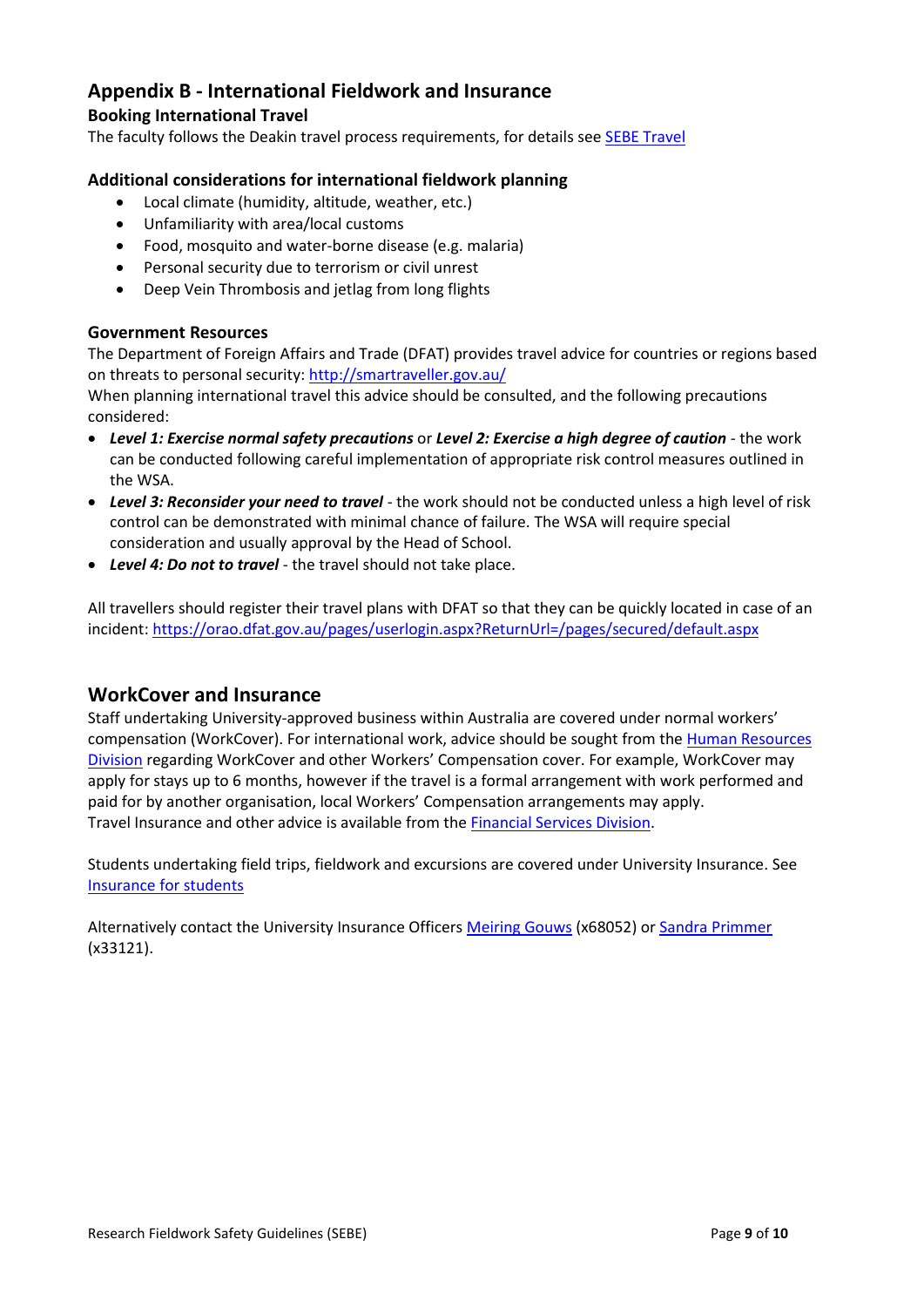# **Appendix B - International Fieldwork and Insurance**

# **Booking International Travel**

The faculty follows the Deakin travel process requirements, for details see [SEBE Travel](https://wiki.deakin.edu.au/display/SEBE/Travel)

# **Additional considerations for international fieldwork planning**

- Local climate (humidity, altitude, weather, etc.)
- Unfamiliarity with area/local customs
- Food, mosquito and water-borne disease (e.g. malaria)
- Personal security due to terrorism or civil unrest
- Deep Vein Thrombosis and jetlag from long flights

## **Government Resources**

The Department of Foreign Affairs and Trade (DFAT) provides travel advice for countries or regions based on threats to personal security: http://smartraveller.gov.au/

When planning international travel this advice should be consulted, and the following precautions considered:

- *Level 1: Exercise normal safety precautions* or *Level 2: Exercise a high degree of caution* the work can be conducted following careful implementation of appropriate risk control measures outlined in the WSA.
- *Level 3: Reconsider your need to travel* the work should not be conducted unless a high level of risk control can be demonstrated with minimal chance of failure. The WSA will require special consideration and usually approval by the Head of School.
- *Level 4: Do not to travel* the travel should not take place.

All travellers should register their travel plans with DFAT so that they can be quickly located in case of an incident: <https://orao.dfat.gov.au/pages/userlogin.aspx?ReturnUrl=/pages/secured/default.aspx>

# **WorkCover and Insurance**

Staff undertaking University-approved business within Australia are covered under normal workers' compensation (WorkCover). For international work, advice should be sought from the [Human Resources](http://www.deakin.edu.au/about-deakin/administrative-divisions/human-resources/about-us)  [Division](http://www.deakin.edu.au/about-deakin/administrative-divisions/human-resources/about-us) regarding WorkCover and other Workers' Compensation cover. For example, WorkCover may apply for stays up to 6 months, however if the travel is a formal arrangement with work performed and paid for by another organisation, local Workers' Compensation arrangements may apply. Travel Insurance and other advice is available from the [Financial Services Division.](https://wiki.deakin.edu.au/display/staff/Staff+Travel)

Students undertaking field trips, fieldwork and excursions are covered under University Insurance. See [Insurance for students](https://www.deakin.edu.au/about-deakin/administrative-divisions/corporate-finance/insurance)

Alternatively contact the University Insurance Officer[s Meiring Gouws](mailto:meiring.gouws@deakin.edu.au) (x68052) or [Sandra Primmer](mailto:sandra.primmer@deakin.edu.au) (x33121).